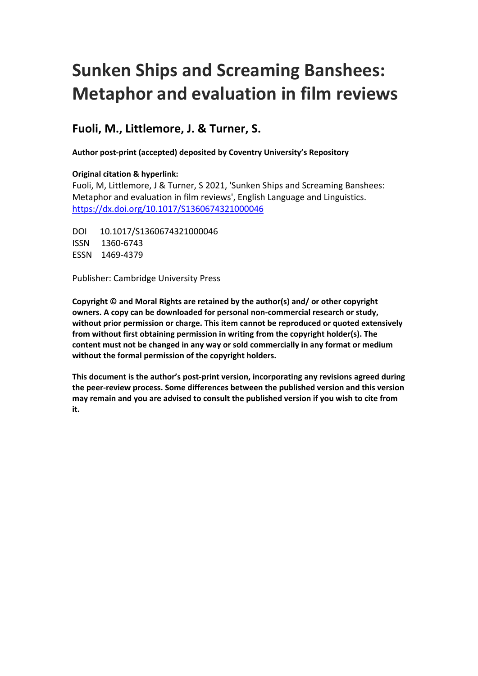## **Sunken Ships and Screaming Banshees: Metaphor and evaluation in film reviews**

## **Fuoli, M., Littlemore, J. & Turner, S.**

**Author post-print (accepted) deposited by Coventry University's Repository**

#### **Original citation & hyperlink:**

Fuoli, M, Littlemore, J & Turner, S 2021, 'Sunken Ships and Screaming Banshees: Metaphor and evaluation in film reviews', English Language and Linguistics. <https://dx.doi.org/10.1017/S1360674321000046>

**DOI** DOI 10.1017/S1360674321000046 ISSN 1360-6743 ESSN 1469-4379

Publisher: Cambridge University Press

**Copyright © and Moral Rights are retained by the author(s) and/ or other copyright owners. A copy can be downloaded for personal non-commercial research or study, without prior permission or charge. This item cannot be reproduced or quoted extensively from without first obtaining permission in writing from the copyright holder(s). The content must not be changed in any way or sold commercially in any format or medium without the formal permission of the copyright holders.** 

**This document is the author's post-print version, incorporating any revisions agreed during the peer-review process. Some differences between the published version and this version may remain and you are advised to consult the published version if you wish to cite from it.**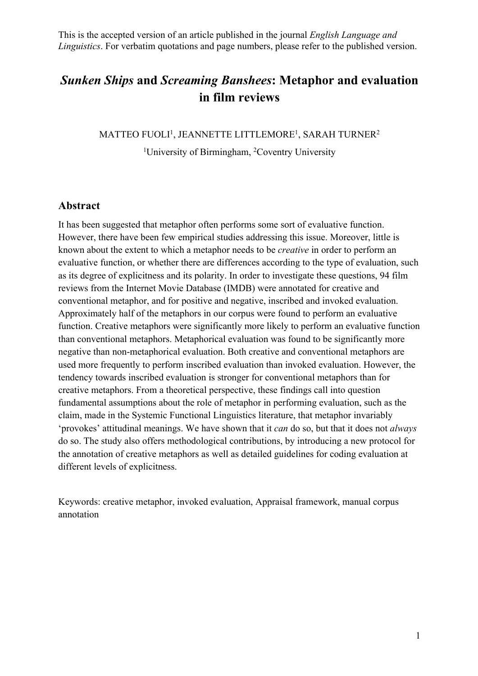## *Sunken Ships* **and** *Screaming Banshees***: Metaphor and evaluation in film reviews**

MATTEO FUOLI<sup>1</sup>, JEANNETTE LITTLEMORE<sup>1</sup>, SARAH TURNER<sup>2</sup>

<sup>1</sup>University of Birmingham, <sup>2</sup>Coventry University

#### **Abstract**

 known about the extent to which a metaphor needs to be *creative* in order to perform an It has been suggested that metaphor often performs some sort of evaluative function. However, there have been few empirical studies addressing this issue. Moreover, little is evaluative function, or whether there are differences according to the type of evaluation, such as its degree of explicitness and its polarity. In order to investigate these questions, 94 film reviews from the Internet Movie Database (IMDB) were annotated for creative and conventional metaphor, and for positive and negative, inscribed and invoked evaluation. Approximately half of the metaphors in our corpus were found to perform an evaluative function. Creative metaphors were significantly more likely to perform an evaluative function than conventional metaphors. Metaphorical evaluation was found to be significantly more negative than non-metaphorical evaluation. Both creative and conventional metaphors are used more frequently to perform inscribed evaluation than invoked evaluation. However, the tendency towards inscribed evaluation is stronger for conventional metaphors than for creative metaphors. From a theoretical perspective, these findings call into question fundamental assumptions about the role of metaphor in performing evaluation, such as the claim, made in the Systemic Functional Linguistics literature, that metaphor invariably 'provokes' attitudinal meanings. We have shown that it *can* do so, but that it does not *always*  do so. The study also offers methodological contributions, by introducing a new protocol for the annotation of creative metaphors as well as detailed guidelines for coding evaluation at different levels of explicitness.

Keywords: creative metaphor, invoked evaluation, Appraisal framework, manual corpus annotation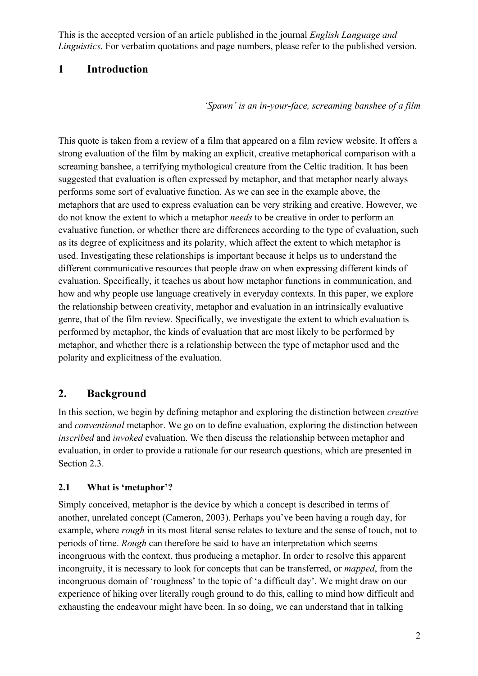#### **1 Introduction**

*'Spawn' is an in-your-face, screaming banshee of a film* 

This quote is taken from a review of a film that appeared on a film review website. It offers a strong evaluation of the film by making an explicit, creative metaphorical comparison with a screaming banshee, a terrifying mythological creature from the Celtic tradition. It has been polarity and explicitness of the evaluation. suggested that evaluation is often expressed by metaphor, and that metaphor nearly always performs some sort of evaluative function. As we can see in the example above, the metaphors that are used to express evaluation can be very striking and creative. However, we do not know the extent to which a metaphor *needs* to be creative in order to perform an evaluative function, or whether there are differences according to the type of evaluation, such as its degree of explicitness and its polarity, which affect the extent to which metaphor is used. Investigating these relationships is important because it helps us to understand the different communicative resources that people draw on when expressing different kinds of evaluation. Specifically, it teaches us about how metaphor functions in communication, and how and why people use language creatively in everyday contexts. In this paper, we explore the relationship between creativity, metaphor and evaluation in an intrinsically evaluative genre, that of the film review. Specifically, we investigate the extent to which evaluation is performed by metaphor, the kinds of evaluation that are most likely to be performed by metaphor, and whether there is a relationship between the type of metaphor used and the

#### **Background 2.**

 *inscribed* and *invoked* evaluation. We then discuss the relationship between metaphor and Section 2.3. In this section, we begin by defining metaphor and exploring the distinction between *creative*  and *conventional* metaphor. We go on to define evaluation, exploring the distinction between evaluation, in order to provide a rationale for our research questions, which are presented in

#### **What is 'metaphor'? 2.1**

 example, where *rough* in its most literal sense relates to texture and the sense of touch, not to Simply conceived, metaphor is the device by which a concept is described in terms of another, unrelated concept (Cameron, 2003). Perhaps you've been having a rough day, for periods of time. *Rough* can therefore be said to have an interpretation which seems incongruous with the context, thus producing a metaphor. In order to resolve this apparent incongruity, it is necessary to look for concepts that can be transferred, or *mapped*, from the incongruous domain of 'roughness' to the topic of 'a difficult day'. We might draw on our experience of hiking over literally rough ground to do this, calling to mind how difficult and exhausting the endeavour might have been. In so doing, we can understand that in talking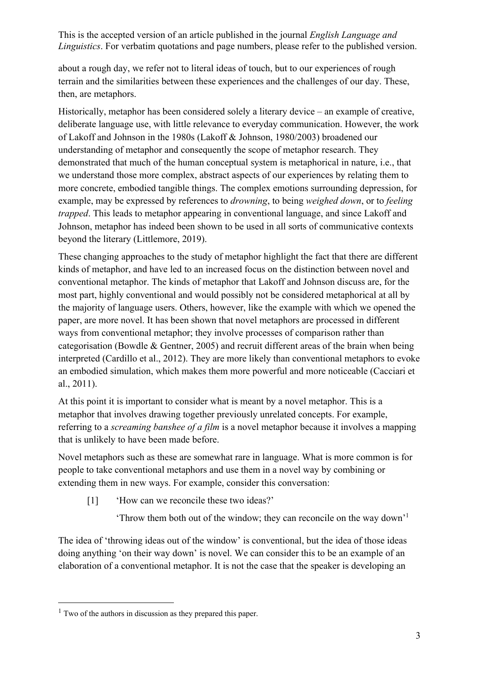about a rough day, we refer not to literal ideas of touch, but to our experiences of rough terrain and the similarities between these experiences and the challenges of our day. These, then, are metaphors.

 Historically, metaphor has been considered solely a literary device – an example of creative, example, may be expressed by references to *drowning*, to being *weighed down*, or to *feeling trapped*. This leads to metaphor appearing in conventional language, and since Lakoff and Johnson, metaphor has indeed been shown to be used in all sorts of communicative contexts beyond the literary (Littlemore, 2019). deliberate language use, with little relevance to everyday communication. However, the work of Lakoff and Johnson in the 1980s (Lakoff & Johnson, 1980/2003) broadened our understanding of metaphor and consequently the scope of metaphor research. They demonstrated that much of the human conceptual system is metaphorical in nature, i.e., that we understand those more complex, abstract aspects of our experiences by relating them to more concrete, embodied tangible things. The complex emotions surrounding depression, for

These changing approaches to the study of metaphor highlight the fact that there are different kinds of metaphor, and have led to an increased focus on the distinction between novel and conventional metaphor. The kinds of metaphor that Lakoff and Johnson discuss are, for the most part, highly conventional and would possibly not be considered metaphorical at all by the majority of language users. Others, however, like the example with which we opened the paper, are more novel. It has been shown that novel metaphors are processed in different ways from conventional metaphor; they involve processes of comparison rather than categorisation (Bowdle & Gentner, 2005) and recruit different areas of the brain when being interpreted (Cardillo et al., 2012). They are more likely than conventional metaphors to evoke an embodied simulation, which makes them more powerful and more noticeable (Cacciari et al., 2011).

At this point it is important to consider what is meant by a novel metaphor. This is a metaphor that involves drawing together previously unrelated concepts. For example, referring to a *screaming banshee of a film* is a novel metaphor because it involves a mapping that is unlikely to have been made before.

Novel metaphors such as these are somewhat rare in language. What is more common is for people to take conventional metaphors and use them in a novel way by combining or extending them in new ways. For example, consider this conversation:

- [1] 'How can we reconcile these two ideas?'
	- 'Throw them both out of the window; they can reconcile on the way down'1

The idea of 'throwing ideas out of the window' is conventional, but the idea of those ideas doing anything 'on their way down' is novel. We can consider this to be an example of an elaboration of a conventional metaphor. It is not the case that the speaker is developing an

 $<sup>1</sup>$  Two of the authors in discussion as they prepared this paper.</sup>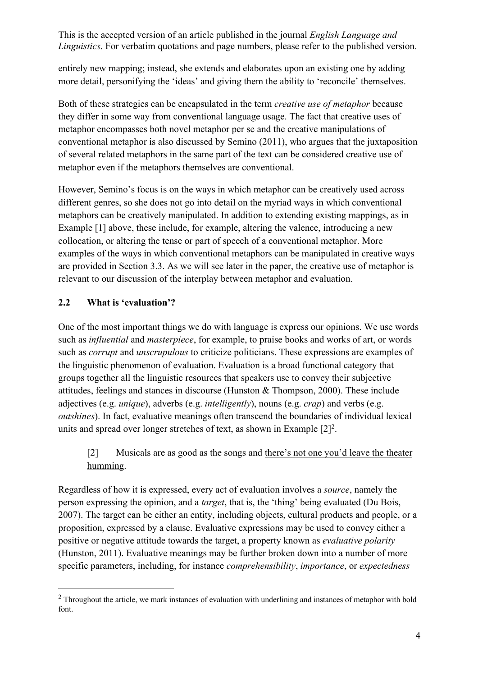entirely new mapping; instead, she extends and elaborates upon an existing one by adding more detail, personifying the 'ideas' and giving them the ability to 'reconcile' themselves.

 Both of these strategies can be encapsulated in the term *creative use of metaphor* because they differ in some way from conventional language usage. The fact that creative uses of metaphor encompasses both novel metaphor per se and the creative manipulations of conventional metaphor is also discussed by Semino (2011), who argues that the juxtaposition of several related metaphors in the same part of the text can be considered creative use of metaphor even if the metaphors themselves are conventional.

However, Semino's focus is on the ways in which metaphor can be creatively used across different genres, so she does not go into detail on the myriad ways in which conventional metaphors can be creatively manipulated. In addition to extending existing mappings, as in Example [1] above, these include, for example, altering the valence, introducing a new collocation, or altering the tense or part of speech of a conventional metaphor. More examples of the ways in which conventional metaphors can be manipulated in creative ways are provided in Section 3.3. As we will see later in the paper, the creative use of metaphor is relevant to our discussion of the interplay between metaphor and evaluation.

#### **2.2 What is 'evaluation'?**

 such as *influential* and *masterpiece*, for example, to praise books and works of art, or words such as *corrupt* and *unscrupulous* to criticize politicians. These expressions are examples of groups together all the linguistic resources that speakers use to convey their subjective units and spread over longer stretches of text, as shown in Example  $[2]^2$ . One of the most important things we do with language is express our opinions. We use words the linguistic phenomenon of evaluation. Evaluation is a broad functional category that attitudes, feelings and stances in discourse (Hunston & Thompson, 2000). These include adjectives (e.g. *unique*), adverbs (e.g. *intelligently*), nouns (e.g. *crap*) and verbs (e.g. *outshines*). In fact, evaluative meanings often transcend the boundaries of individual lexical

#### [2] humming. Musicals are as good as the songs and there's not one you'd leave the theater

Regardless of how it is expressed, every act of evaluation involves a *source*, namely the person expressing the opinion, and a *target*, that is, the 'thing' being evaluated (Du Bois, 2007). The target can be either an entity, including objects, cultural products and people, or a proposition, expressed by a clause. Evaluative expressions may be used to convey either a positive or negative attitude towards the target, a property known as *evaluative polarity*  (Hunston, 2011). Evaluative meanings may be further broken down into a number of more specific parameters, including, for instance *comprehensibility*, *importance*, or *expectedness* 

 $2$  Throughout the article, we mark instances of evaluation with underlining and instances of metaphor with bold font.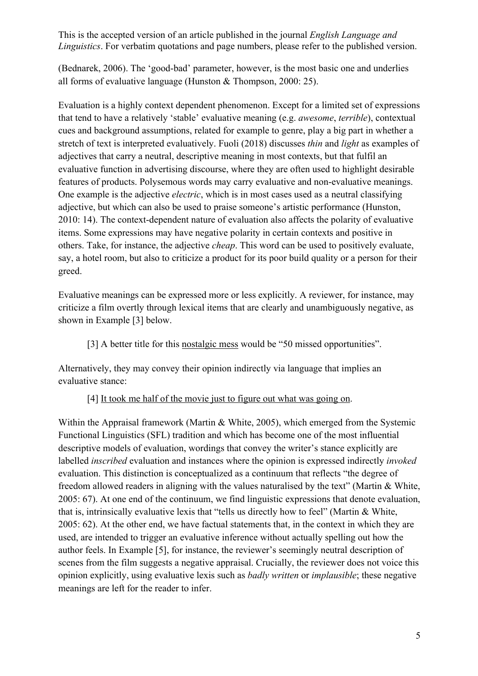(Bednarek, 2006). The 'good-bad' parameter, however, is the most basic one and underlies all forms of evaluative language (Hunston & Thompson, 2000: 25).

 stretch of text is interpreted evaluatively. Fuoli (2018) discusses *thin* and *light* as examples of Evaluation is a highly context dependent phenomenon. Except for a limited set of expressions that tend to have a relatively 'stable' evaluative meaning (e.g. *awesome*, *terrible*), contextual cues and background assumptions, related for example to genre, play a big part in whether a adjectives that carry a neutral, descriptive meaning in most contexts, but that fulfil an evaluative function in advertising discourse, where they are often used to highlight desirable features of products. Polysemous words may carry evaluative and non-evaluative meanings. One example is the adjective *electric*, which is in most cases used as a neutral classifying adjective, but which can also be used to praise someone's artistic performance (Hunston, 2010: 14). The context-dependent nature of evaluation also affects the polarity of evaluative items. Some expressions may have negative polarity in certain contexts and positive in others. Take, for instance, the adjective *cheap*. This word can be used to positively evaluate, say, a hotel room, but also to criticize a product for its poor build quality or a person for their greed.

Evaluative meanings can be expressed more or less explicitly. A reviewer, for instance, may criticize a film overtly through lexical items that are clearly and unambiguously negative, as shown in Example [3] below.

[3] A better title for this nostalgic mess would be "50 missed opportunities".

Alternatively, they may convey their opinion indirectly via language that implies an evaluative stance:

[4] It took me half of the movie just to figure out what was going on.

Within the Appraisal framework (Martin & White, 2005), which emerged from the Systemic Functional Linguistics (SFL) tradition and which has become one of the most influential descriptive models of evaluation, wordings that convey the writer's stance explicitly are labelled *inscribed* evaluation and instances where the opinion is expressed indirectly *invoked*  evaluation. This distinction is conceptualized as a continuum that reflects "the degree of freedom allowed readers in aligning with the values naturalised by the text" (Martin & White, 2005: 67). At one end of the continuum, we find linguistic expressions that denote evaluation, that is, intrinsically evaluative lexis that "tells us directly how to feel" (Martin & White, 2005: 62). At the other end, we have factual statements that, in the context in which they are used, are intended to trigger an evaluative inference without actually spelling out how the author feels. In Example [5], for instance, the reviewer's seemingly neutral description of scenes from the film suggests a negative appraisal. Crucially, the reviewer does not voice this opinion explicitly, using evaluative lexis such as *badly written* or *implausible*; these negative meanings are left for the reader to infer.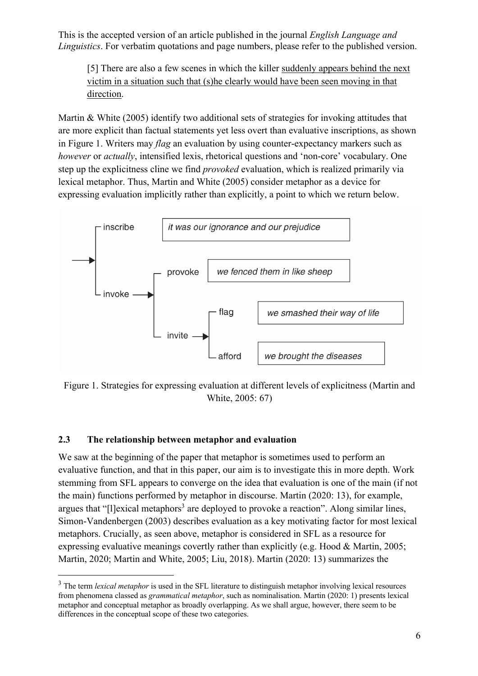[5] There are also a few scenes in which the killer suddenly appears behind the next victim in a situation such that (s)he clearly would have been seen moving in that direction.

Martin & White (2005) identify two additional sets of strategies for invoking attitudes that are more explicit than factual statements yet less overt than evaluative inscriptions, as shown in Figure 1. Writers may *flag* an evaluation by using counter-expectancy markers such as *however* or *actually*, intensified lexis, rhetorical questions and 'non-core' vocabulary. One step up the explicitness cline we find *provoked* evaluation, which is realized primarily via lexical metaphor. Thus, Martin and White (2005) consider metaphor as a device for expressing evaluation implicitly rather than explicitly, a point to which we return below.



White, 2005: 67) Figure 1. Strategies for expressing evaluation at different levels of explicitness (Martin and

#### **2.3 The relationship between metaphor and evaluation**

We saw at the beginning of the paper that metaphor is sometimes used to perform an evaluative function, and that in this paper, our aim is to investigate this in more depth. Work stemming from SFL appears to converge on the idea that evaluation is one of the main (if not the main) functions performed by metaphor in discourse. Martin (2020: 13), for example, argues that "[l]exical metaphors<sup>3</sup> are deployed to provoke a reaction". Along similar lines, Simon-Vandenbergen (2003) describes evaluation as a key motivating factor for most lexical metaphors. Crucially, as seen above, metaphor is considered in SFL as a resource for expressing evaluative meanings covertly rather than explicitly (e.g. Hood & Martin, 2005; Martin, 2020; Martin and White, 2005; Liu, 2018). Martin (2020: 13) summarizes the

<sup>&</sup>lt;sup>3</sup> The term *lexical metaphor* is used in the SFL literature to distinguish metaphor involving lexical resources from phenomena classed as *grammatical metaphor*, such as nominalisation. Martin (2020: 1) presents lexical metaphor and conceptual metaphor as broadly overlapping. As we shall argue, however, there seem to be differences in the conceptual scope of these two categories.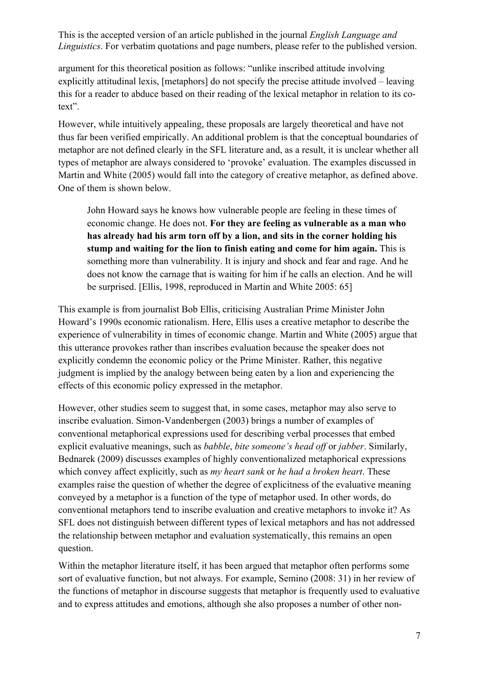argument for this theoretical position as follows: "unlike inscribed attitude involving explicitly attitudinal lexis, [metaphors] do not specify the precise attitude involved – leaving this for a reader to abduce based on their reading of the lexical metaphor in relation to its cotext".

However, while intuitively appealing, these proposals are largely theoretical and have not thus far been verified empirically. An additional problem is that the conceptual boundaries of metaphor are not defined clearly in the SFL literature and, as a result, it is unclear whether all types of metaphor are always considered to 'provoke' evaluation. The examples discussed in Martin and White (2005) would fall into the category of creative metaphor, as defined above. One of them is shown below.

 **stump and waiting for the lion to finish eating and come for him again.** This is be surprised. [Ellis, 1998, reproduced in Martin and White 2005: 65] John Howard says he knows how vulnerable people are feeling in these times of economic change. He does not. **For they are feeling as vulnerable as a man who has already had his arm torn off by a lion, and sits in the corner holding his**  something more than vulnerability. It is injury and shock and fear and rage. And he does not know the carnage that is waiting for him if he calls an election. And he will

explicitly condemn the economic policy or the Prime Minister. Rather, this negative effects of this economic policy expressed in the metaphor. This example is from journalist Bob Ellis, criticising Australian Prime Minister John Howard's 1990s economic rationalism. Here, Ellis uses a creative metaphor to describe the experience of vulnerability in times of economic change. Martin and White (2005) argue that this utterance provokes rather than inscribes evaluation because the speaker does not judgment is implied by the analogy between being eaten by a lion and experiencing the

conventional metaphorical expressions used for describing verbal processes that embed However, other studies seem to suggest that, in some cases, metaphor may also serve to inscribe evaluation. Simon-Vandenbergen (2003) brings a number of examples of explicit evaluative meanings, such as *babble*, *bite someone's head off* or *jabber*. Similarly, Bednarek (2009) discusses examples of highly conventionalized metaphorical expressions which convey affect explicitly, such as *my heart sank* or *he had a broken heart*. These examples raise the question of whether the degree of explicitness of the evaluative meaning conveyed by a metaphor is a function of the type of metaphor used. In other words, do conventional metaphors tend to inscribe evaluation and creative metaphors to invoke it? As SFL does not distinguish between different types of lexical metaphors and has not addressed the relationship between metaphor and evaluation systematically, this remains an open question.

Within the metaphor literature itself, it has been argued that metaphor often performs some sort of evaluative function, but not always. For example, Semino (2008: 31) in her review of the functions of metaphor in discourse suggests that metaphor is frequently used to evaluative and to express attitudes and emotions, although she also proposes a number of other non-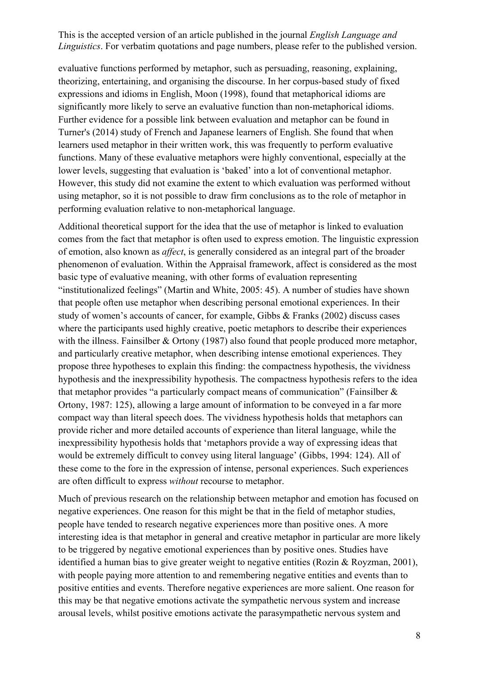evaluative functions performed by metaphor, such as persuading, reasoning, explaining, theorizing, entertaining, and organising the discourse. In her corpus-based study of fixed expressions and idioms in English, Moon (1998), found that metaphorical idioms are significantly more likely to serve an evaluative function than non-metaphorical idioms. Further evidence for a possible link between evaluation and metaphor can be found in Turner's (2014) study of French and Japanese learners of English. She found that when learners used metaphor in their written work, this was frequently to perform evaluative functions. Many of these evaluative metaphors were highly conventional, especially at the lower levels, suggesting that evaluation is 'baked' into a lot of conventional metaphor. However, this study did not examine the extent to which evaluation was performed without using metaphor, so it is not possible to draw firm conclusions as to the role of metaphor in performing evaluation relative to non-metaphorical language.

Additional theoretical support for the idea that the use of metaphor is linked to evaluation comes from the fact that metaphor is often used to express emotion. The linguistic expression of emotion, also known as *affect*, is generally considered as an integral part of the broader phenomenon of evaluation. Within the Appraisal framework, affect is considered as the most basic type of evaluative meaning, with other forms of evaluation representing "institutionalized feelings" (Martin and White, 2005: 45). A number of studies have shown that people often use metaphor when describing personal emotional experiences. In their study of women's accounts of cancer, for example, Gibbs & Franks (2002) discuss cases where the participants used highly creative, poetic metaphors to describe their experiences with the illness. Fainsilber & Ortony (1987) also found that people produced more metaphor, and particularly creative metaphor, when describing intense emotional experiences. They propose three hypotheses to explain this finding: the compactness hypothesis, the vividness hypothesis and the inexpressibility hypothesis. The compactness hypothesis refers to the idea that metaphor provides "a particularly compact means of communication" (Fainsilber & Ortony, 1987: 125), allowing a large amount of information to be conveyed in a far more compact way than literal speech does. The vividness hypothesis holds that metaphors can provide richer and more detailed accounts of experience than literal language, while the inexpressibility hypothesis holds that 'metaphors provide a way of expressing ideas that would be extremely difficult to convey using literal language' (Gibbs, 1994: 124). All of these come to the fore in the expression of intense, personal experiences. Such experiences are often difficult to express *without* recourse to metaphor.

Much of previous research on the relationship between metaphor and emotion has focused on negative experiences. One reason for this might be that in the field of metaphor studies, people have tended to research negative experiences more than positive ones. A more interesting idea is that metaphor in general and creative metaphor in particular are more likely to be triggered by negative emotional experiences than by positive ones. Studies have identified a human bias to give greater weight to negative entities (Rozin & Royzman, 2001), with people paying more attention to and remembering negative entities and events than to positive entities and events. Therefore negative experiences are more salient. One reason for this may be that negative emotions activate the sympathetic nervous system and increase arousal levels, whilst positive emotions activate the parasympathetic nervous system and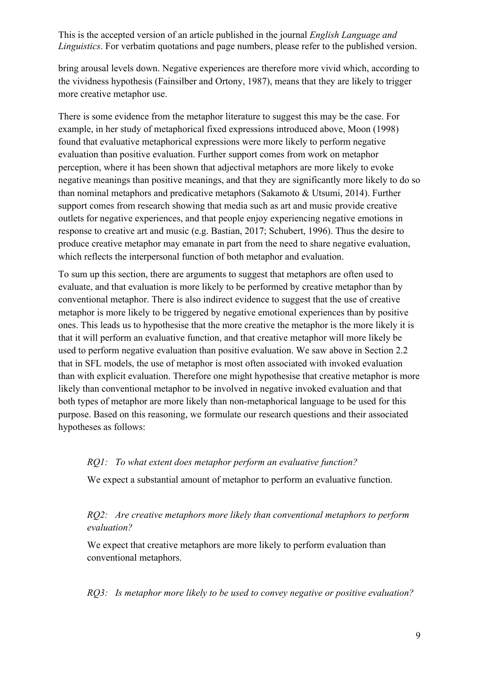bring arousal levels down. Negative experiences are therefore more vivid which, according to the vividness hypothesis (Fainsilber and Ortony, 1987), means that they are likely to trigger more creative metaphor use.

There is some evidence from the metaphor literature to suggest this may be the case. For example, in her study of metaphorical fixed expressions introduced above, Moon (1998) found that evaluative metaphorical expressions were more likely to perform negative evaluation than positive evaluation. Further support comes from work on metaphor perception, where it has been shown that adjectival metaphors are more likely to evoke negative meanings than positive meanings, and that they are significantly more likely to do so than nominal metaphors and predicative metaphors (Sakamoto & Utsumi, 2014). Further support comes from research showing that media such as art and music provide creative outlets for negative experiences, and that people enjoy experiencing negative emotions in response to creative art and music (e.g. Bastian, 2017; Schubert, 1996). Thus the desire to produce creative metaphor may emanate in part from the need to share negative evaluation, which reflects the interpersonal function of both metaphor and evaluation.

hypotheses as follows: To sum up this section, there are arguments to suggest that metaphors are often used to evaluate, and that evaluation is more likely to be performed by creative metaphor than by conventional metaphor. There is also indirect evidence to suggest that the use of creative metaphor is more likely to be triggered by negative emotional experiences than by positive ones. This leads us to hypothesise that the more creative the metaphor is the more likely it is that it will perform an evaluative function, and that creative metaphor will more likely be used to perform negative evaluation than positive evaluation. We saw above in Section 2.2 that in SFL models, the use of metaphor is most often associated with invoked evaluation than with explicit evaluation. Therefore one might hypothesise that creative metaphor is more likely than conventional metaphor to be involved in negative invoked evaluation and that both types of metaphor are more likely than non-metaphorical language to be used for this purpose. Based on this reasoning, we formulate our research questions and their associated

#### *RQ1: To what extent does metaphor perform an evaluative function?*

We expect a substantial amount of metaphor to perform an evaluative function.

#### *RQ2: Are creative metaphors more likely than conventional metaphors to perform evaluation?*

We expect that creative metaphors are more likely to perform evaluation than conventional metaphors.

*RQ3: Is metaphor more likely to be used to convey negative or positive evaluation?*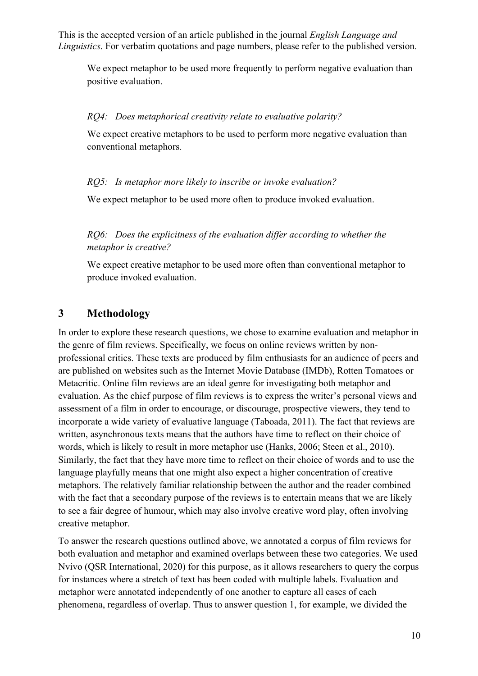We expect metaphor to be used more frequently to perform negative evaluation than positive evaluation.

#### *RQ4: Does metaphorical creativity relate to evaluative polarity?*

We expect creative metaphors to be used to perform more negative evaluation than conventional metaphors.

#### *RQ5: Is metaphor more likely to inscribe or invoke evaluation?*

We expect metaphor to be used more often to produce invoked evaluation.

#### *RQ6: Does the explicitness of the evaluation differ according to whether the metaphor is creative?*

We expect creative metaphor to be used more often than conventional metaphor to produce invoked evaluation.

#### **3 Methodology**

In order to explore these research questions, we chose to examine evaluation and metaphor in the genre of film reviews. Specifically, we focus on online reviews written by nonprofessional critics. These texts are produced by film enthusiasts for an audience of peers and are published on websites such as the Internet Movie Database (IMDb), Rotten Tomatoes or Metacritic. Online film reviews are an ideal genre for investigating both metaphor and evaluation. As the chief purpose of film reviews is to express the writer's personal views and assessment of a film in order to encourage, or discourage, prospective viewers, they tend to incorporate a wide variety of evaluative language (Taboada, 2011). The fact that reviews are written, asynchronous texts means that the authors have time to reflect on their choice of words, which is likely to result in more metaphor use (Hanks, 2006; Steen et al., 2010). Similarly, the fact that they have more time to reflect on their choice of words and to use the language playfully means that one might also expect a higher concentration of creative metaphors. The relatively familiar relationship between the author and the reader combined with the fact that a secondary purpose of the reviews is to entertain means that we are likely to see a fair degree of humour, which may also involve creative word play, often involving creative metaphor.

To answer the research questions outlined above, we annotated a corpus of film reviews for both evaluation and metaphor and examined overlaps between these two categories. We used Nvivo (QSR International, 2020) for this purpose, as it allows researchers to query the corpus for instances where a stretch of text has been coded with multiple labels. Evaluation and metaphor were annotated independently of one another to capture all cases of each phenomena, regardless of overlap. Thus to answer question 1, for example, we divided the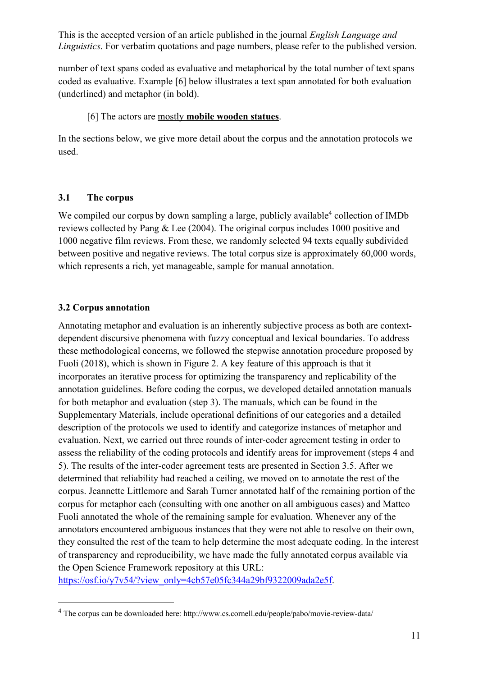number of text spans coded as evaluative and metaphorical by the total number of text spans coded as evaluative. Example [6] below illustrates a text span annotated for both evaluation (underlined) and metaphor (in bold).

#### [6] The actors are mostly **mobile wooden statues**.

In the sections below, we give more detail about the corpus and the annotation protocols we used.

#### **3.1 The corpus**

We compiled our corpus by down sampling a large, publicly available<sup>4</sup> collection of IMDb reviews collected by Pang & Lee (2004). The original corpus includes 1000 positive and 1000 negative film reviews. From these, we randomly selected 94 texts equally subdivided between positive and negative reviews. The total corpus size is approximately 60,000 words, which represents a rich, yet manageable, sample for manual annotation.

## **3.2 Corpus annotation**

Fuoli (2018), which is shown in Figure 2. A key feature of this approach is that it for both metaphor and evaluation (step 3). The manuals, which can be found in the Annotating metaphor and evaluation is an inherently subjective process as both are contextdependent discursive phenomena with fuzzy conceptual and lexical boundaries. To address these methodological concerns, we followed the stepwise annotation procedure proposed by incorporates an iterative process for optimizing the transparency and replicability of the annotation guidelines. Before coding the corpus, we developed detailed annotation manuals Supplementary Materials, include operational definitions of our categories and a detailed description of the protocols we used to identify and categorize instances of metaphor and evaluation. Next, we carried out three rounds of inter-coder agreement testing in order to assess the reliability of the coding protocols and identify areas for improvement (steps 4 and 5). The results of the inter-coder agreement tests are presented in Section 3.5. After we determined that reliability had reached a ceiling, we moved on to annotate the rest of the corpus. Jeannette Littlemore and Sarah Turner annotated half of the remaining portion of the corpus for metaphor each (consulting with one another on all ambiguous cases) and Matteo Fuoli annotated the whole of the remaining sample for evaluation. Whenever any of the annotators encountered ambiguous instances that they were not able to resolve on their own, they consulted the rest of the team to help determine the most adequate coding. In the interest of transparency and reproducibility, we have made the fully annotated corpus available via the Open Science Framework repository at this URL:

https://osf.io/y7v54/?view\_only=4cb57e05fc344a29bf9322009ada2e5f.

 $4$  The corpus can be downloaded here: http://www.cs.cornell.edu/people/pabo/movie-review-data/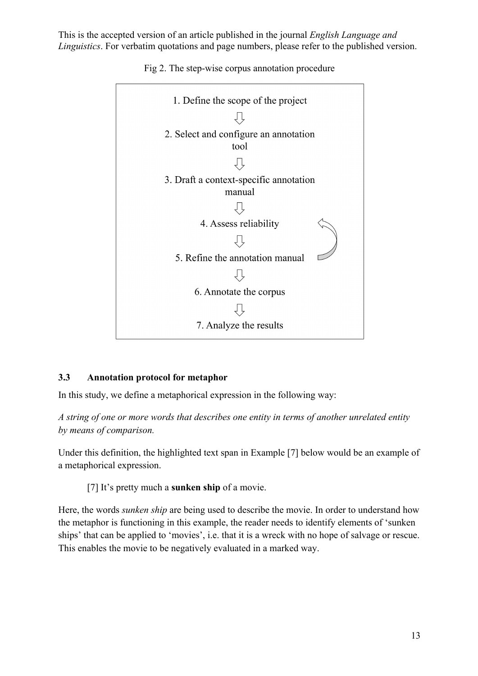

Fig 2. The step-wise corpus annotation procedure

#### **3.3 Annotation protocol for metaphor**

In this study, we define a metaphorical expression in the following way:

*A string of one or more words that describes one entity in terms of another unrelated entity by means of comparison.* 

Under this definition, the highlighted text span in Example [7] below would be an example of a metaphorical expression.

[7] It's pretty much a **sunken ship** of a movie.

 Here, the words *sunken ship* are being used to describe the movie. In order to understand how the metaphor is functioning in this example, the reader needs to identify elements of 'sunken ships' that can be applied to 'movies', i.e. that it is a wreck with no hope of salvage or rescue. This enables the movie to be negatively evaluated in a marked way.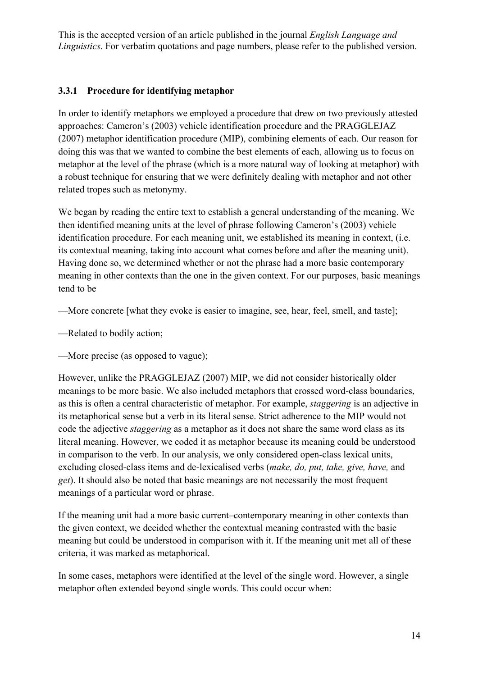#### **3.3.1 Procedure for identifying metaphor**

In order to identify metaphors we employed a procedure that drew on two previously attested approaches: Cameron's (2003) vehicle identification procedure and the PRAGGLEJAZ (2007) metaphor identification procedure (MIP), combining elements of each. Our reason for doing this was that we wanted to combine the best elements of each, allowing us to focus on metaphor at the level of the phrase (which is a more natural way of looking at metaphor) with a robust technique for ensuring that we were definitely dealing with metaphor and not other related tropes such as metonymy.

We began by reading the entire text to establish a general understanding of the meaning. We then identified meaning units at the level of phrase following Cameron's (2003) vehicle identification procedure. For each meaning unit, we established its meaning in context, (i.e. its contextual meaning, taking into account what comes before and after the meaning unit). Having done so, we determined whether or not the phrase had a more basic contemporary meaning in other contexts than the one in the given context. For our purposes, basic meanings tend to be

—More concrete [what they evoke is easier to imagine, see, hear, feel, smell, and taste];

—Related to bodily action;

—More precise (as opposed to vague);

 code the adjective *staggering* as a metaphor as it does not share the same word class as its However, unlike the PRAGGLEJAZ (2007) MIP, we did not consider historically older meanings to be more basic. We also included metaphors that crossed word-class boundaries, as this is often a central characteristic of metaphor. For example, *staggering* is an adjective in its metaphorical sense but a verb in its literal sense. Strict adherence to the MIP would not literal meaning. However, we coded it as metaphor because its meaning could be understood in comparison to the verb. In our analysis, we only considered open-class lexical units, excluding closed-class items and de-lexicalised verbs (*make, do, put, take, give, have,* and *get*). It should also be noted that basic meanings are not necessarily the most frequent meanings of a particular word or phrase.

If the meaning unit had a more basic current–contemporary meaning in other contexts than the given context, we decided whether the contextual meaning contrasted with the basic meaning but could be understood in comparison with it. If the meaning unit met all of these criteria, it was marked as metaphorical.

In some cases, metaphors were identified at the level of the single word. However, a single metaphor often extended beyond single words. This could occur when: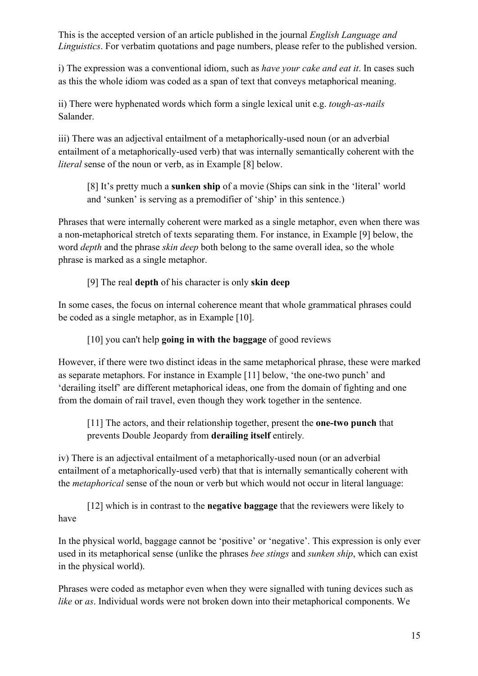i) The expression was a conventional idiom, such as *have your cake and eat it*. In cases such as this the whole idiom was coded as a span of text that conveys metaphorical meaning.

ii) There were hyphenated words which form a single lexical unit e.g. *tough-as-nails*  Salander.

iii) There was an adjectival entailment of a metaphorically-used noun (or an adverbial entailment of a metaphorically-used verb) that was internally semantically coherent with the *literal* sense of the noun or verb, as in Example [8] below.

[8] It's pretty much a **sunken ship** of a movie (Ships can sink in the 'literal' world and 'sunken' is serving as a premodifier of 'ship' in this sentence.)

 word *depth* and the phrase *skin deep* both belong to the same overall idea, so the whole Phrases that were internally coherent were marked as a single metaphor, even when there was a non-metaphorical stretch of texts separating them. For instance, in Example [9] below, the phrase is marked as a single metaphor.

#### [9] The real **depth** of his character is only **skin deep**

In some cases, the focus on internal coherence meant that whole grammatical phrases could be coded as a single metaphor, as in Example [10].

#### [10] you can't help **going in with the baggage** of good reviews

from the domain of rail travel, even though they work together in the sentence. However, if there were two distinct ideas in the same metaphorical phrase, these were marked as separate metaphors. For instance in Example [11] below, 'the one-two punch' and 'derailing itself' are different metaphorical ideas, one from the domain of fighting and one

 [11] The actors, and their relationship together, present the **one-two punch** that prevents Double Jeopardy from **derailing itself** entirely*.* 

iv) There is an adjectival entailment of a metaphorically-used noun (or an adverbial entailment of a metaphorically-used verb) that that is internally semantically coherent with the *metaphorical* sense of the noun or verb but which would not occur in literal language:

[12] which is in contrast to the **negative baggage** that the reviewers were likely to have

 used in its metaphorical sense (unlike the phrases *bee stings* and *sunken ship*, which can exist In the physical world, baggage cannot be 'positive' or 'negative'. This expression is only ever in the physical world).

Phrases were coded as metaphor even when they were signalled with tuning devices such as *like* or *as*. Individual words were not broken down into their metaphorical components. We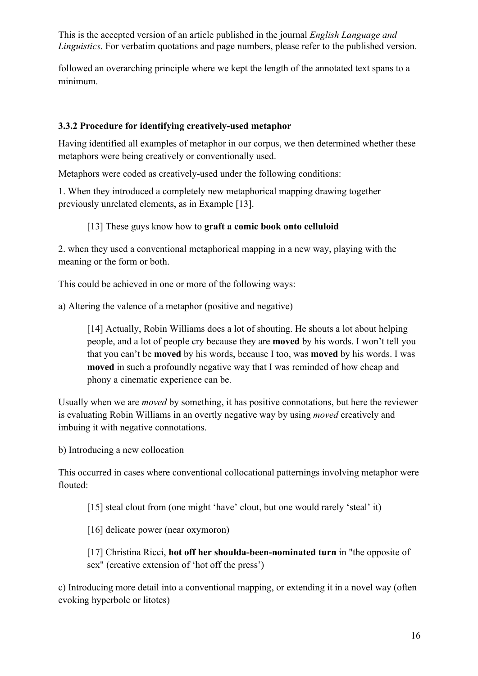followed an overarching principle where we kept the length of the annotated text spans to a minimum.

#### **3.3.2 Procedure for identifying creatively-used metaphor**

Having identified all examples of metaphor in our corpus, we then determined whether these metaphors were being creatively or conventionally used.

Metaphors were coded as creatively-used under the following conditions:

1. When they introduced a completely new metaphorical mapping drawing together previously unrelated elements, as in Example [13].

#### [13] These guys know how to **graft a comic book onto celluloid**

2. when they used a conventional metaphorical mapping in a new way, playing with the meaning or the form or both.

This could be achieved in one or more of the following ways:

a) Altering the valence of a metaphor (positive and negative)

 people, and a lot of people cry because they are **moved** by his words. I won't tell you that you can't be **moved** by his words, because I too, was **moved** by his words. I was [14] Actually, Robin Williams does a lot of shouting. He shouts a lot about helping **moved** in such a profoundly negative way that I was reminded of how cheap and phony a cinematic experience can be.

 Usually when we are *moved* by something, it has positive connotations, but here the reviewer is evaluating Robin Williams in an overtly negative way by using *moved* creatively and imbuing it with negative connotations.

b) Introducing a new collocation

This occurred in cases where conventional collocational patternings involving metaphor were flouted:

[15] steal clout from (one might 'have' clout, but one would rarely 'steal' it)

[16] delicate power (near oxymoron)

[17] Christina Ricci, **hot off her shoulda-been-nominated turn** in "the opposite of sex" (creative extension of 'hot off the press')

c) Introducing more detail into a conventional mapping, or extending it in a novel way (often evoking hyperbole or litotes)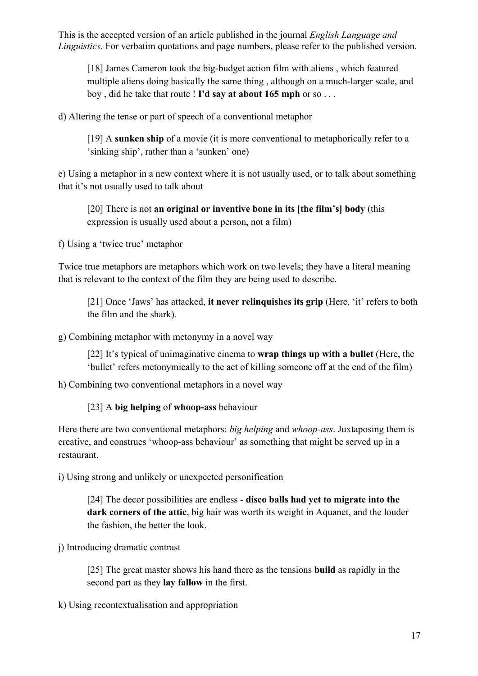boy , did he take that route ! **I'd say at about 165 mph** or so . . . [18] James Cameron took the big-budget action film with aliens, which featured multiple aliens doing basically the same thing , although on a much-larger scale, and

d) Altering the tense or part of speech of a conventional metaphor

[19] A **sunken ship** of a movie (it is more conventional to metaphorically refer to a 'sinking ship', rather than a 'sunken' one)

e) Using a metaphor in a new context where it is not usually used, or to talk about something that it's not usually used to talk about

 [20] There is not **an original or inventive bone in its [the film's] body** (this expression is usually used about a person, not a film)

f) Using a 'twice true' metaphor

Twice true metaphors are metaphors which work on two levels; they have a literal meaning that is relevant to the context of the film they are being used to describe.

[21] Once 'Jaws' has attacked, **it never relinquishes its grip** (Here, 'it' refers to both the film and the shark).

g) Combining metaphor with metonymy in a novel way

 [22] It's typical of unimaginative cinema to **wrap things up with a bullet** (Here, the 'bullet' refers metonymically to the act of killing someone off at the end of the film)

h) Combining two conventional metaphors in a novel way

[23] A **big helping** of **whoop-ass** behaviour

 Here there are two conventional metaphors: *big helping* and *whoop-ass*. Juxtaposing them is creative, and construes 'whoop-ass behaviour' as something that might be served up in a restaurant.

i) Using strong and unlikely or unexpected personification

 [24] The decor possibilities are endless - **disco balls had yet to migrate into the dark corners of the attic**, big hair was worth its weight in Aquanet, and the louder the fashion, the better the look.

j) Introducing dramatic contrast

 [25] The great master shows his hand there as the tensions **build** as rapidly in the second part as they **lay fallow** in the first.

k) Using recontextualisation and appropriation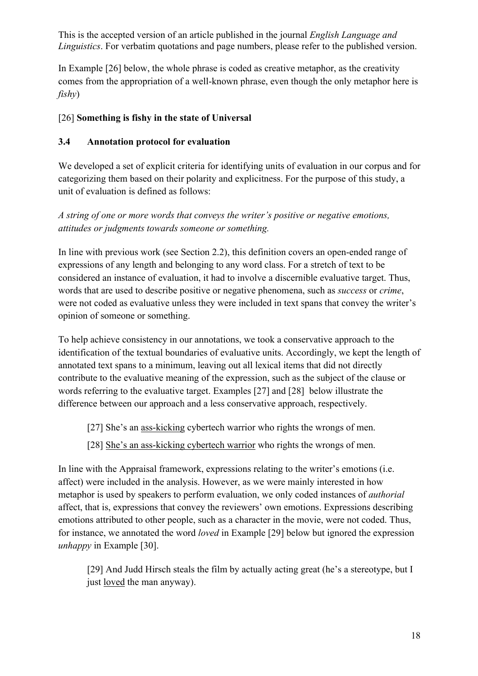In Example [26] below, the whole phrase is coded as creative metaphor, as the creativity comes from the appropriation of a well-known phrase, even though the only metaphor here is *fishy*)

# [26] **Something is fishy in the state of Universal 3.4 Annotation protocol for evaluation**

 unit of evaluation is defined as follows: We developed a set of explicit criteria for identifying units of evaluation in our corpus and for categorizing them based on their polarity and explicitness. For the purpose of this study, a

*A string of one or more words that conveys the writer's positive or negative emotions, attitudes or judgments towards someone or something.* 

 expressions of any length and belonging to any word class. For a stretch of text to be words that are used to describe positive or negative phenomena, such as *success* or *crime*, In line with previous work (see Section 2.2), this definition covers an open-ended range of considered an instance of evaluation, it had to involve a discernible evaluative target. Thus, were not coded as evaluative unless they were included in text spans that convey the writer's opinion of someone or something.

To help achieve consistency in our annotations, we took a conservative approach to the identification of the textual boundaries of evaluative units. Accordingly, we kept the length of annotated text spans to a minimum, leaving out all lexical items that did not directly contribute to the evaluative meaning of the expression, such as the subject of the clause or words referring to the evaluative target. Examples [27] and [28] below illustrate the difference between our approach and a less conservative approach, respectively.

[27] She's an ass-kicking cybertech warrior who rights the wrongs of men.

[28] She's an ass-kicking cybertech warrior who rights the wrongs of men.

In line with the Appraisal framework, expressions relating to the writer's emotions (i.e. affect) were included in the analysis. However, as we were mainly interested in how metaphor is used by speakers to perform evaluation, we only coded instances of *authorial*  affect, that is, expressions that convey the reviewers' own emotions. Expressions describing emotions attributed to other people, such as a character in the movie, were not coded. Thus, for instance, we annotated the word *loved* in Example [29] below but ignored the expression *unhappy* in Example [30].

just <u>loved</u> the man anyway). [29] And Judd Hirsch steals the film by actually acting great (he's a stereotype, but I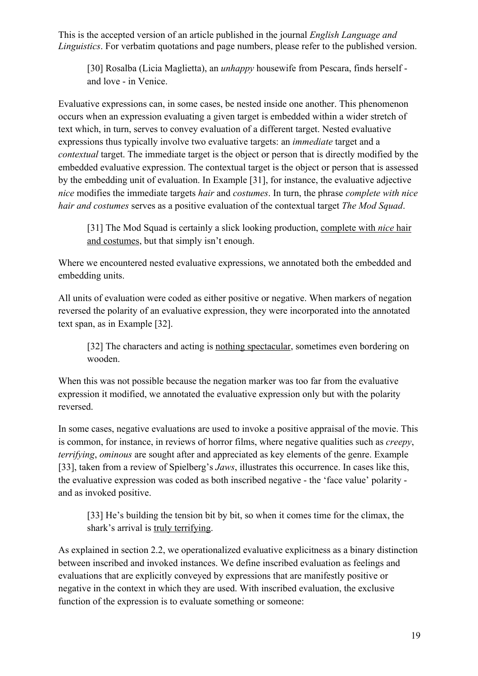and love - in Venice. [30] Rosalba (Licia Maglietta), an *unhappy* housewife from Pescara, finds herself -

 expressions thus typically involve two evaluative targets: an *immediate* target and a *nice* modifies the immediate targets *hair* and *costumes*. In turn, the phrase *complete with nice*  Evaluative expressions can, in some cases, be nested inside one another. This phenomenon occurs when an expression evaluating a given target is embedded within a wider stretch of text which, in turn, serves to convey evaluation of a different target. Nested evaluative *contextual* target. The immediate target is the object or person that is directly modified by the embedded evaluative expression. The contextual target is the object or person that is assessed by the embedding unit of evaluation. In Example [31], for instance, the evaluative adjective *hair and costumes* serves as a positive evaluation of the contextual target *The Mod Squad*.

[31] The Mod Squad is certainly a slick looking production, complete with *nice* hair and costumes, but that simply isn't enough.

Where we encountered nested evaluative expressions, we annotated both the embedded and embedding units.

All units of evaluation were coded as either positive or negative. When markers of negation reversed the polarity of an evaluative expression, they were incorporated into the annotated text span, as in Example [32].

[32] The characters and acting is nothing spectacular, sometimes even bordering on wooden.

When this was not possible because the negation marker was too far from the evaluative expression it modified, we annotated the evaluative expression only but with the polarity reversed.

 the evaluative expression was coded as both inscribed negative - the 'face value' polarity and as invoked positive. In some cases, negative evaluations are used to invoke a positive appraisal of the movie. This is common, for instance, in reviews of horror films, where negative qualities such as *creepy*, *terrifying*, *ominous* are sought after and appreciated as key elements of the genre. Example [33], taken from a review of Spielberg's *Jaws*, illustrates this occurrence. In cases like this,

[33] He's building the tension bit by bit, so when it comes time for the climax, the shark's arrival is truly terrifying.

As explained in section 2.2, we operationalized evaluative explicitness as a binary distinction between inscribed and invoked instances. We define inscribed evaluation as feelings and evaluations that are explicitly conveyed by expressions that are manifestly positive or negative in the context in which they are used. With inscribed evaluation, the exclusive function of the expression is to evaluate something or someone: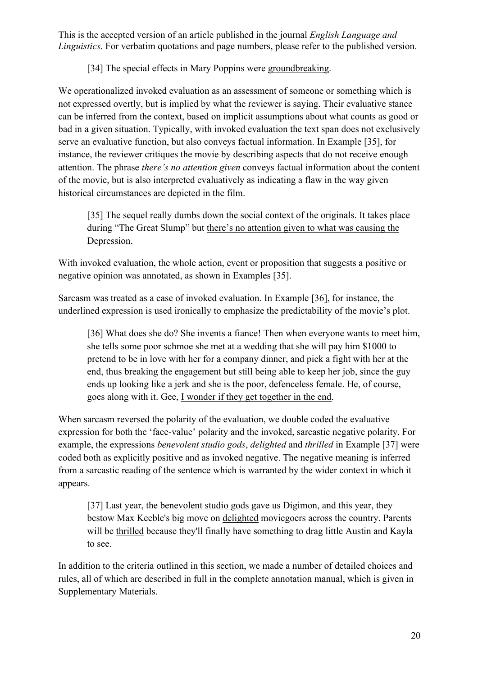[34] The special effects in Mary Poppins were groundbreaking.

We operationalized invoked evaluation as an assessment of someone or something which is not expressed overtly, but is implied by what the reviewer is saying. Their evaluative stance can be inferred from the context, based on implicit assumptions about what counts as good or bad in a given situation. Typically, with invoked evaluation the text span does not exclusively serve an evaluative function, but also conveys factual information. In Example [35], for instance, the reviewer critiques the movie by describing aspects that do not receive enough attention. The phrase *there's no attention given* conveys factual information about the content of the movie, but is also interpreted evaluatively as indicating a flaw in the way given historical circumstances are depicted in the film.

during "The Great Slump" but there's no attention given to what was causing the Depression. [35] The sequel really dumbs down the social context of the originals. It takes place

With invoked evaluation, the whole action, event or proposition that suggests a positive or negative opinion was annotated, as shown in Examples [35].

Sarcasm was treated as a case of invoked evaluation. In Example [36], for instance, the underlined expression is used ironically to emphasize the predictability of the movie's plot.

[36] What does she do? She invents a fiance! Then when everyone wants to meet him, she tells some poor schmoe she met at a wedding that she will pay him \$1000 to pretend to be in love with her for a company dinner, and pick a fight with her at the end, thus breaking the engagement but still being able to keep her job, since the guy ends up looking like a jerk and she is the poor, defenceless female. He, of course, goes along with it. Gee, I wonder if they get together in the end.

 example, the expressions *benevolent studio gods*, *delighted* and *thrilled* in Example [37] were When sarcasm reversed the polarity of the evaluation, we double coded the evaluative expression for both the 'face-value' polarity and the invoked, sarcastic negative polarity. For coded both as explicitly positive and as invoked negative. The negative meaning is inferred from a sarcastic reading of the sentence which is warranted by the wider context in which it appears.

will be thrilled because they'll finally have something to drag little Austin and Kayla [37] Last year, the benevolent studio gods gave us Digimon, and this year, they bestow Max Keeble's big move on delighted moviegoers across the country. Parents to see.

In addition to the criteria outlined in this section, we made a number of detailed choices and rules, all of which are described in full in the complete annotation manual, which is given in Supplementary Materials.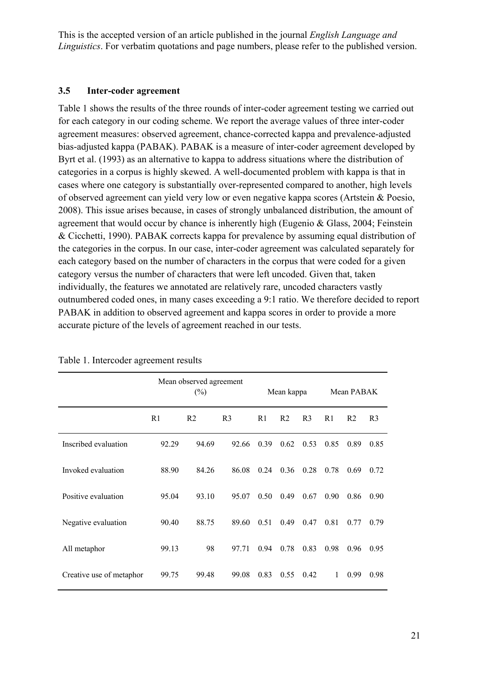#### **3.5 Inter-coder agreement**

Table 1 shows the results of the three rounds of inter-coder agreement testing we carried out for each category in our coding scheme. We report the average values of three inter-coder agreement measures: observed agreement, chance-corrected kappa and prevalence-adjusted bias-adjusted kappa (PABAK). PABAK is a measure of inter-coder agreement developed by Byrt et al. (1993) as an alternative to kappa to address situations where the distribution of categories in a corpus is highly skewed. A well-documented problem with kappa is that in cases where one category is substantially over-represented compared to another, high levels of observed agreement can yield very low or even negative kappa scores (Artstein & Poesio, 2008). This issue arises because, in cases of strongly unbalanced distribution, the amount of agreement that would occur by chance is inherently high (Eugenio & Glass, 2004; Feinstein & Cicchetti, 1990). PABAK corrects kappa for prevalence by assuming equal distribution of the categories in the corpus. In our case, inter-coder agreement was calculated separately for each category based on the number of characters in the corpus that were coded for a given category versus the number of characters that were left uncoded. Given that, taken individually, the features we annotated are relatively rare, uncoded characters vastly outnumbered coded ones, in many cases exceeding a 9:1 ratio. We therefore decided to report PABAK in addition to observed agreement and kappa scores in order to provide a more accurate picture of the levels of agreement reached in our tests.

|                          | Mean observed agreement<br>$(\%)$ |                |                | Mean kappa     |                | Mean PABAK     |      |                |                |
|--------------------------|-----------------------------------|----------------|----------------|----------------|----------------|----------------|------|----------------|----------------|
|                          | R1                                | R <sub>2</sub> | R <sub>3</sub> | R <sub>1</sub> | R <sub>2</sub> | R <sub>3</sub> | R1   | R <sub>2</sub> | R <sub>3</sub> |
| Inscribed evaluation     | 92.29                             | 94.69          | 92.66          | 0.39           | 0.62           | 0.53           | 0.85 | 0.89           | 0.85           |
| Invoked evaluation       | 88.90                             | 84.26          | 86.08          | 0.24           | 0.36           | 0.28           | 0.78 | 0.69           | 0.72           |
| Positive evaluation      | 95.04                             | 93.10          | 95.07          | 0.50           | 0.49           | 0.67           | 0.90 | 0.86           | 0.90           |
| Negative evaluation      | 90.40                             | 88.75          | 89.60          | 0.51           | 0.49           | 0.47           | 0.81 | 0.77           | 0.79           |
| All metaphor             | 99.13                             | 98             | 97.71          | 0.94           | 0.78           | 0.83           | 0.98 | 0.96           | 0.95           |
| Creative use of metaphor | 99.75                             | 99.48          | 99.08          | 0.83           | 0.55           | 0.42           | 1    | 0.99           | 0.98           |

Table 1. Intercoder agreement results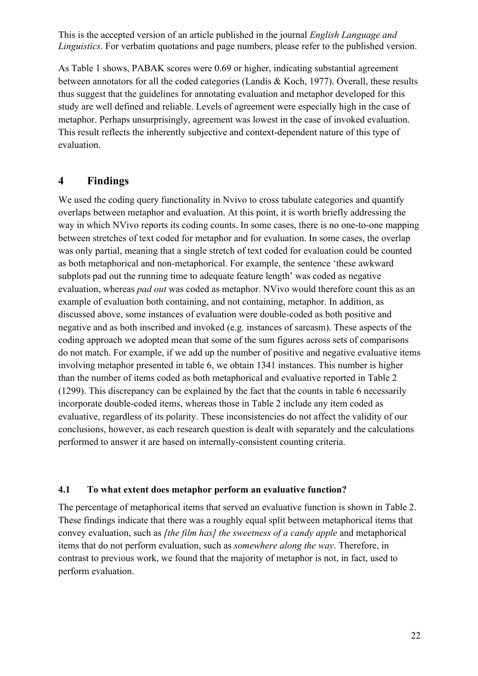As Table 1 shows, PABAK scores were 0.69 or higher, indicating substantial agreement between annotators for all the coded categories (Landis & Koch, 1977). Overall, these results thus suggest that the guidelines for annotating evaluation and metaphor developed for this study are well defined and reliable. Levels of agreement were especially high in the case of metaphor. Perhaps unsurprisingly, agreement was lowest in the case of invoked evaluation. This result reflects the inherently subjective and context-dependent nature of this type of evaluation.

#### **4 Findings**

 evaluation, whereas *pad out* was coded as metaphor. NVivo would therefore count this as an We used the coding query functionality in Nvivo to cross tabulate categories and quantify performed to answer it are based on internally-consistent counting criteria. overlaps between metaphor and evaluation. At this point, it is worth briefly addressing the way in which NVivo reports its coding counts. In some cases, there is no one-to-one mapping between stretches of text coded for metaphor and for evaluation. In some cases, the overlap was only partial, meaning that a single stretch of text coded for evaluation could be counted as both metaphorical and non-metaphorical. For example, the sentence 'these awkward subplots pad out the running time to adequate feature length' was coded as negative example of evaluation both containing, and not containing, metaphor. In addition, as discussed above, some instances of evaluation were double-coded as both positive and negative and as both inscribed and invoked (e.g. instances of sarcasm). These aspects of the coding approach we adopted mean that some of the sum figures across sets of comparisons do not match. For example, if we add up the number of positive and negative evaluative items involving metaphor presented in table 6, we obtain 1341 instances. This number is higher than the number of items coded as both metaphorical and evaluative reported in Table 2 (1299). This discrepancy can be explained by the fact that the counts in table 6 necessarily incorporate double-coded items, whereas those in Table 2 include any item coded as evaluative, regardless of its polarity. These inconsistencies do not affect the validity of our conclusions, however, as each research question is dealt with separately and the calculations

#### **4.1 To what extent does metaphor perform an evaluative function?**

The percentage of metaphorical items that served an evaluative function is shown in Table 2. These findings indicate that there was a roughly equal split between metaphorical items that convey evaluation, such as *[the film has] the sweetness of a candy apple* and metaphorical items that do not perform evaluation, such as *somewhere along the way*. Therefore, in contrast to previous work, we found that the majority of metaphor is not, in fact, used to perform evaluation.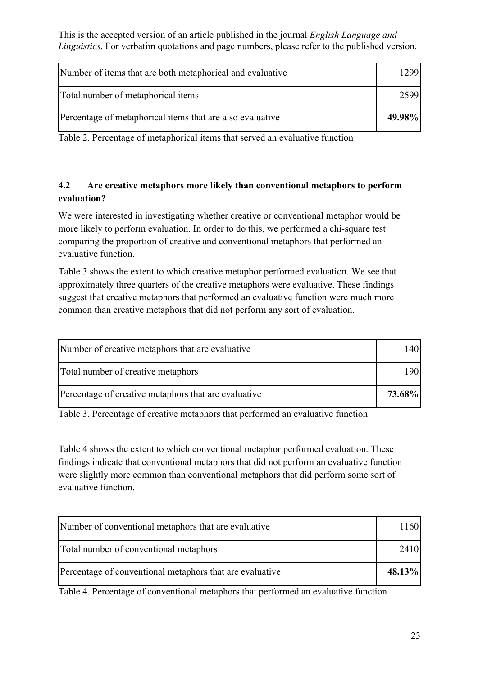| Number of items that are both metaphorical and evaluative | 12991  |
|-----------------------------------------------------------|--------|
| Total number of metaphorical items                        | 2599   |
| Percentage of metaphorical items that are also evaluative | 49.98% |

Table 2. Percentage of metaphorical items that served an evaluative function

## **4.2 Are creative metaphors more likely than conventional metaphors to perform evaluation?**

We were interested in investigating whether creative or conventional metaphor would be more likely to perform evaluation. In order to do this, we performed a chi-square test comparing the proportion of creative and conventional metaphors that performed an evaluative function.

Table 3 shows the extent to which creative metaphor performed evaluation. We see that approximately three quarters of the creative metaphors were evaluative. These findings suggest that creative metaphors that performed an evaluative function were much more common than creative metaphors that did not perform any sort of evaluation.

| Number of creative metaphors that are evaluative     |        |
|------------------------------------------------------|--------|
| Total number of creative metaphors                   |        |
| Percentage of creative metaphors that are evaluative | 73.68% |

Table 3. Percentage of creative metaphors that performed an evaluative function

Table 4 shows the extent to which conventional metaphor performed evaluation. These findings indicate that conventional metaphors that did not perform an evaluative function were slightly more common than conventional metaphors that did perform some sort of evaluative function.

| Number of conventional metaphors that are evaluative     | 11601  |
|----------------------------------------------------------|--------|
| Total number of conventional metaphors                   | 24101  |
| Percentage of conventional metaphors that are evaluative | 48.13% |

Table 4. Percentage of conventional metaphors that performed an evaluative function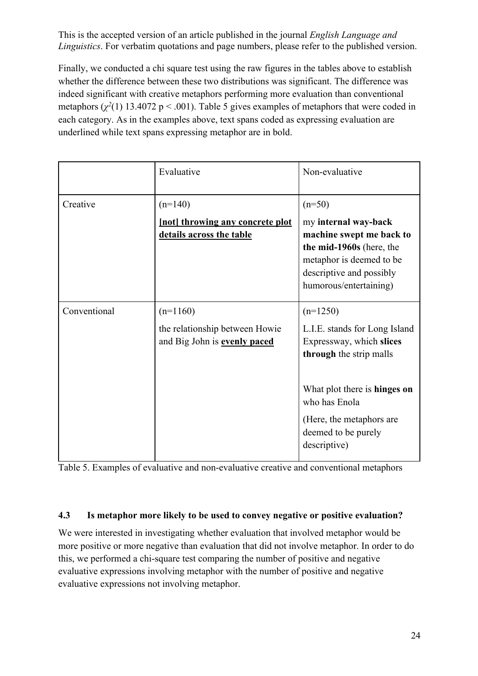Finally, we conducted a chi square test using the raw figures in the tables above to establish whether the difference between these two distributions was significant. The difference was indeed significant with creative metaphors performing more evaluation than conventional metaphors  $(\chi^2(1) 13.4072 \text{ p} < .001)$ . Table 5 gives examples of metaphors that were coded in each category. As in the examples above, text spans coded as expressing evaluation are underlined while text spans expressing metaphor are in bold.

|              | Evaluative                                                                          | Non-evaluative                                                                                                                                                                                                         |
|--------------|-------------------------------------------------------------------------------------|------------------------------------------------------------------------------------------------------------------------------------------------------------------------------------------------------------------------|
| Creative     | $(n=140)$<br><b>Inotly</b> throwing any concrete plot<br>details across the table   | $(n=50)$<br>my internal way-back<br>machine swept me back to<br>the mid-1960s (here, the<br>metaphor is deemed to be<br>descriptive and possibly<br>humorous/entertaining)                                             |
| Conventional | $(n=1160)$<br>the relationship between Howie<br>and Big John is <b>evenly paced</b> | $(n=1250)$<br>L.I.E. stands for Long Island<br>Expressway, which slices<br>through the strip malls<br>What plot there is hinges on<br>who has Enola<br>(Here, the metaphors are<br>deemed to be purely<br>descriptive) |

Table 5. Examples of evaluative and non-evaluative creative and conventional metaphors

#### **4.3 Is metaphor more likely to be used to convey negative or positive evaluation?**

We were interested in investigating whether evaluation that involved metaphor would be more positive or more negative than evaluation that did not involve metaphor. In order to do this, we performed a chi-square test comparing the number of positive and negative evaluative expressions involving metaphor with the number of positive and negative evaluative expressions not involving metaphor.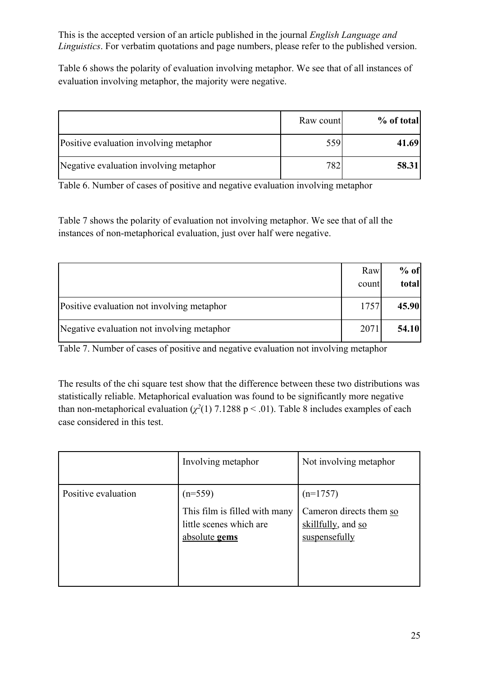Table 6 shows the polarity of evaluation involving metaphor. We see that of all instances of evaluation involving metaphor, the majority were negative.

|                                        | Raw count | % of total |
|----------------------------------------|-----------|------------|
| Positive evaluation involving metaphor | 559       | 41.69      |
| Negative evaluation involving metaphor | 782       | 58.31      |

Table 6. Number of cases of positive and negative evaluation involving metaphor

Table 7 shows the polarity of evaluation not involving metaphor. We see that of all the instances of non-metaphorical evaluation, just over half were negative.

|                                            | Raw<br>count | $%$ of<br>total |
|--------------------------------------------|--------------|-----------------|
| Positive evaluation not involving metaphor | 1757         | 45.90           |
| Negative evaluation not involving metaphor | 2071         | 54.10           |

Table 7. Number of cases of positive and negative evaluation not involving metaphor

The results of the chi square test show that the difference between these two distributions was statistically reliable. Metaphorical evaluation was found to be significantly more negative than non-metaphorical evaluation  $(\chi^2(1)$  7.1288 p < .01). Table 8 includes examples of each case considered in this test.

|                     | Involving metaphor                                                                     | Not involving metaphor                                                       |
|---------------------|----------------------------------------------------------------------------------------|------------------------------------------------------------------------------|
| Positive evaluation | $(n=559)$<br>This film is filled with many<br>little scenes which are<br>absolute gems | $(n=1757)$<br>Cameron directs them so<br>skillfully, and so<br>suspensefully |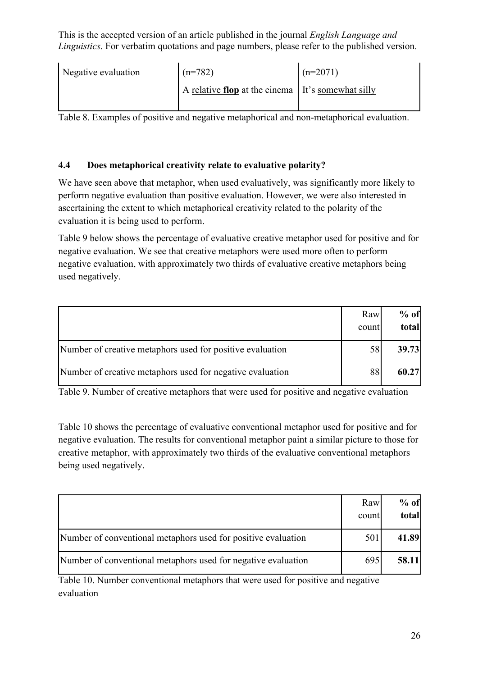| Negative evaluation | $(n=782)$                                           | $(n=2071)$ |
|---------------------|-----------------------------------------------------|------------|
|                     | A relative flop at the cinema   It's somewhat silly |            |

Table 8. Examples of positive and negative metaphorical and non-metaphorical evaluation.

## **4.4 Does metaphorical creativity relate to evaluative polarity?**

We have seen above that metaphor, when used evaluatively, was significantly more likely to perform negative evaluation than positive evaluation. However, we were also interested in ascertaining the extent to which metaphorical creativity related to the polarity of the evaluation it is being used to perform.

Table 9 below shows the percentage of evaluative creative metaphor used for positive and for negative evaluation. We see that creative metaphors were used more often to perform negative evaluation, with approximately two thirds of evaluative creative metaphors being used negatively.

|                                                           | Raw<br>count | $%$ of<br>total |
|-----------------------------------------------------------|--------------|-----------------|
| Number of creative metaphors used for positive evaluation |              | 39.73           |
| Number of creative metaphors used for negative evaluation | 88           | 60.27           |

Table 9. Number of creative metaphors that were used for positive and negative evaluation

Table 10 shows the percentage of evaluative conventional metaphor used for positive and for negative evaluation. The results for conventional metaphor paint a similar picture to those for creative metaphor, with approximately two thirds of the evaluative conventional metaphors being used negatively.

|                                                               | Raw<br>count | $%$ of<br>total |
|---------------------------------------------------------------|--------------|-----------------|
| Number of conventional metaphors used for positive evaluation | 501          | 41.89           |
| Number of conventional metaphors used for negative evaluation | 695          | 58.11           |

Table 10. Number conventional metaphors that were used for positive and negative evaluation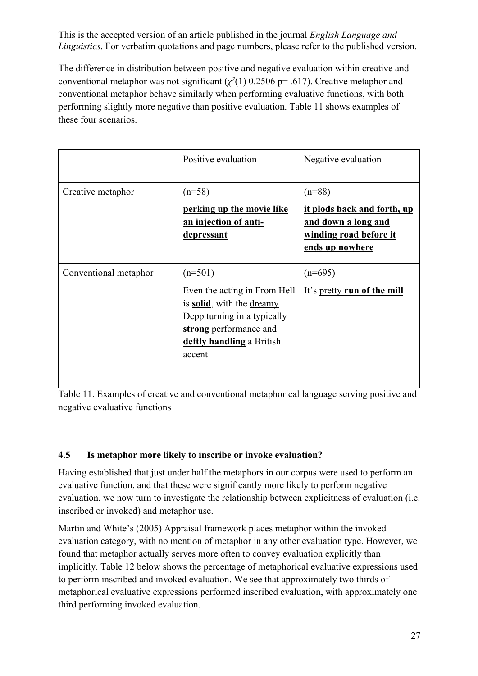The difference in distribution between positive and negative evaluation within creative and conventional metaphor was not significant  $(\chi^2(1)$  0.2506 p= .617). Creative metaphor and conventional metaphor behave similarly when performing evaluative functions, with both performing slightly more negative than positive evaluation. Table 11 shows examples of these four scenarios.

|                       | Positive evaluation                                                                                                                                                    | Negative evaluation                                                                                         |
|-----------------------|------------------------------------------------------------------------------------------------------------------------------------------------------------------------|-------------------------------------------------------------------------------------------------------------|
| Creative metaphor     | $(n=58)$<br>perking up the movie like<br>an injection of anti-<br><u>depressant</u>                                                                                    | $(n=88)$<br>it plods back and forth, up<br>and down a long and<br>winding road before it<br>ends up nowhere |
| Conventional metaphor | $(n=501)$<br>Even the acting in From Hell<br>is solid, with the dreamy<br>Depp turning in a typically<br>strong performance and<br>deftly handling a British<br>accent | $(n=695)$<br>It's pretty run of the mill                                                                    |

Table 11. Examples of creative and conventional metaphorical language serving positive and negative evaluative functions

#### **4.5 Is metaphor more likely to inscribe or invoke evaluation?**

Having established that just under half the metaphors in our corpus were used to perform an evaluative function, and that these were significantly more likely to perform negative evaluation, we now turn to investigate the relationship between explicitness of evaluation (i.e. inscribed or invoked) and metaphor use.

Martin and White's (2005) Appraisal framework places metaphor within the invoked evaluation category, with no mention of metaphor in any other evaluation type. However, we found that metaphor actually serves more often to convey evaluation explicitly than implicitly. Table 12 below shows the percentage of metaphorical evaluative expressions used to perform inscribed and invoked evaluation. We see that approximately two thirds of metaphorical evaluative expressions performed inscribed evaluation, with approximately one third performing invoked evaluation.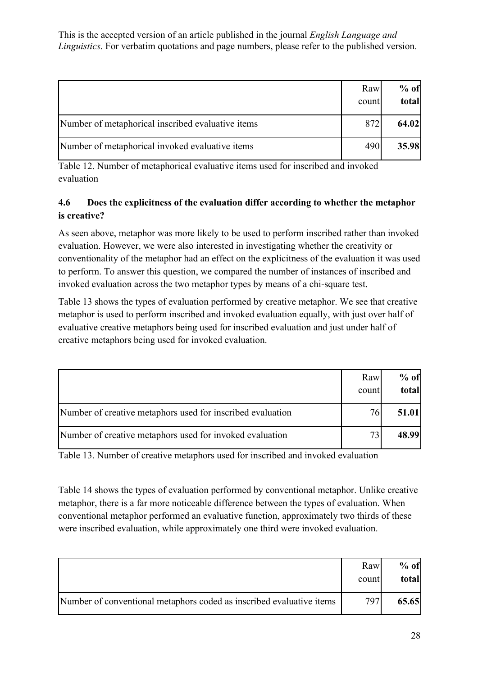|                                                   | Raw<br>count | $%$ of<br>total |
|---------------------------------------------------|--------------|-----------------|
| Number of metaphorical inscribed evaluative items | 872          | 64.02           |
| Number of metaphorical invoked evaluative items   | 4901         | 35.98           |

Table 12. Number of metaphorical evaluative items used for inscribed and invoked evaluation

## **4.6 Does the explicitness of the evaluation differ according to whether the metaphor is creative?**

As seen above, metaphor was more likely to be used to perform inscribed rather than invoked evaluation. However, we were also interested in investigating whether the creativity or conventionality of the metaphor had an effect on the explicitness of the evaluation it was used to perform. To answer this question, we compared the number of instances of inscribed and invoked evaluation across the two metaphor types by means of a chi-square test.

Table 13 shows the types of evaluation performed by creative metaphor. We see that creative metaphor is used to perform inscribed and invoked evaluation equally, with just over half of evaluative creative metaphors being used for inscribed evaluation and just under half of creative metaphors being used for invoked evaluation.

|                                                            | Raw<br>count | $%$ of<br>total |
|------------------------------------------------------------|--------------|-----------------|
| Number of creative metaphors used for inscribed evaluation | 761          | 51.01           |
| Number of creative metaphors used for invoked evaluation   |              | 48.99           |

Table 13. Number of creative metaphors used for inscribed and invoked evaluation

Table 14 shows the types of evaluation performed by conventional metaphor. Unlike creative metaphor, there is a far more noticeable difference between the types of evaluation. When conventional metaphor performed an evaluative function, approximately two thirds of these were inscribed evaluation, while approximately one third were invoked evaluation.

|                                                                      | Raw<br>count | $%$ of<br>total |
|----------------------------------------------------------------------|--------------|-----------------|
| Number of conventional metaphors coded as inscribed evaluative items | 797          | 65.65           |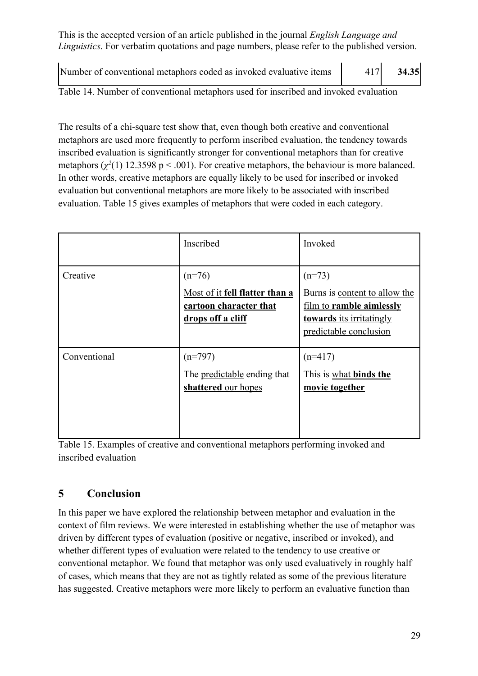Number of conventional metaphors coded as invoked evaluative items | 417 **34.35** 

Table 14. Number of conventional metaphors used for inscribed and invoked evaluation

The results of a chi-square test show that, even though both creative and conventional metaphors are used more frequently to perform inscribed evaluation, the tendency towards inscribed evaluation is significantly stronger for conventional metaphors than for creative metaphors  $(\chi^2(1)$  12.3598 p < .001). For creative metaphors, the behaviour is more balanced. In other words, creative metaphors are equally likely to be used for inscribed or invoked evaluation but conventional metaphors are more likely to be associated with inscribed evaluation. Table 15 gives examples of metaphors that were coded in each category.

|              | Inscribed                                                                                 | Invoked                                                                                                                            |
|--------------|-------------------------------------------------------------------------------------------|------------------------------------------------------------------------------------------------------------------------------------|
| Creative     | $(n=76)$<br>Most of it fell flatter than a<br>cartoon character that<br>drops off a cliff | $(n=73)$<br>Burns is content to allow the<br>film to ramble aimlessly<br><b>towards</b> its irritatingly<br>predictable conclusion |
| Conventional | $(n=797)$<br>The predictable ending that<br>shattered our hopes                           | $(n=417)$<br>This is what binds the<br>movie together                                                                              |

Table 15. Examples of creative and conventional metaphors performing invoked and inscribed evaluation

## **5 Conclusion**

In this paper we have explored the relationship between metaphor and evaluation in the context of film reviews. We were interested in establishing whether the use of metaphor was driven by different types of evaluation (positive or negative, inscribed or invoked), and whether different types of evaluation were related to the tendency to use creative or conventional metaphor. We found that metaphor was only used evaluatively in roughly half of cases, which means that they are not as tightly related as some of the previous literature has suggested. Creative metaphors were more likely to perform an evaluative function than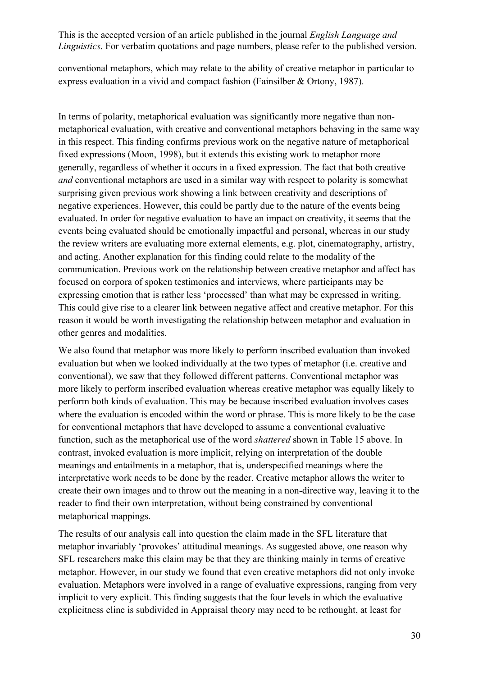conventional metaphors, which may relate to the ability of creative metaphor in particular to express evaluation in a vivid and compact fashion (Fainsilber & Ortony, 1987).

negative experiences. However, this could be partly due to the nature of the events being evaluated. In order for negative evaluation to have an impact on creativity, it seems that the events being evaluated should be emotionally impactful and personal, whereas in our study the review writers are evaluating more external elements, e.g. plot, cinematography, artistry, and acting. Another explanation for this finding could relate to the modality of the communication. Previous work on the relationship between creative metaphor and affect has focused on corpora of spoken testimonies and interviews, where participants may be expressing emotion that is rather less 'processed' than what may be expressed in writing. This could give rise to a clearer link between negative affect and creative metaphor. For this reason it would be worth investigating the relationship between metaphor and evaluation in other genres and modalities. In terms of polarity, metaphorical evaluation was significantly more negative than nonmetaphorical evaluation, with creative and conventional metaphors behaving in the same way in this respect. This finding confirms previous work on the negative nature of metaphorical fixed expressions (Moon, 1998), but it extends this existing work to metaphor more generally, regardless of whether it occurs in a fixed expression. The fact that both creative *and* conventional metaphors are used in a similar way with respect to polarity is somewhat surprising given previous work showing a link between creativity and descriptions of

We also found that metaphor was more likely to perform inscribed evaluation than invoked evaluation but when we looked individually at the two types of metaphor (i.e. creative and conventional), we saw that they followed different patterns. Conventional metaphor was more likely to perform inscribed evaluation whereas creative metaphor was equally likely to perform both kinds of evaluation. This may be because inscribed evaluation involves cases where the evaluation is encoded within the word or phrase. This is more likely to be the case for conventional metaphors that have developed to assume a conventional evaluative function, such as the metaphorical use of the word *shattered* shown in Table 15 above. In contrast, invoked evaluation is more implicit, relying on interpretation of the double meanings and entailments in a metaphor, that is, underspecified meanings where the interpretative work needs to be done by the reader. Creative metaphor allows the writer to create their own images and to throw out the meaning in a non-directive way, leaving it to the reader to find their own interpretation, without being constrained by conventional metaphorical mappings.

The results of our analysis call into question the claim made in the SFL literature that metaphor invariably 'provokes' attitudinal meanings. As suggested above, one reason why SFL researchers make this claim may be that they are thinking mainly in terms of creative metaphor. However, in our study we found that even creative metaphors did not only invoke evaluation. Metaphors were involved in a range of evaluative expressions, ranging from very implicit to very explicit. This finding suggests that the four levels in which the evaluative explicitness cline is subdivided in Appraisal theory may need to be rethought, at least for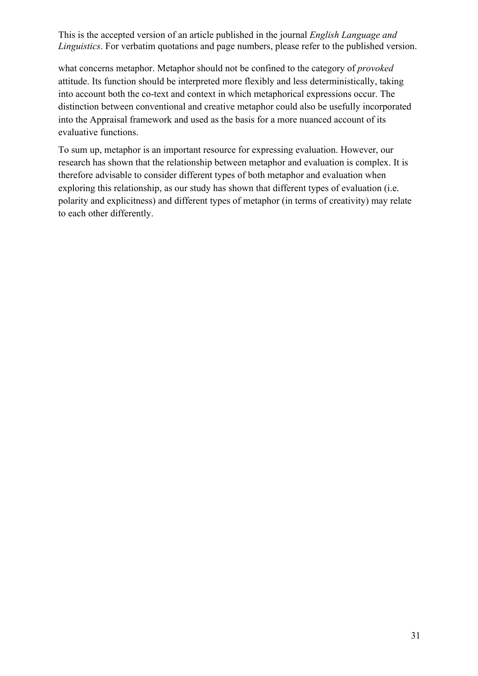what concerns metaphor. Metaphor should not be confined to the category of *provoked*  attitude. Its function should be interpreted more flexibly and less deterministically, taking into account both the co-text and context in which metaphorical expressions occur. The distinction between conventional and creative metaphor could also be usefully incorporated into the Appraisal framework and used as the basis for a more nuanced account of its evaluative functions.

To sum up, metaphor is an important resource for expressing evaluation. However, our research has shown that the relationship between metaphor and evaluation is complex. It is therefore advisable to consider different types of both metaphor and evaluation when exploring this relationship, as our study has shown that different types of evaluation (i.e. polarity and explicitness) and different types of metaphor (in terms of creativity) may relate to each other differently.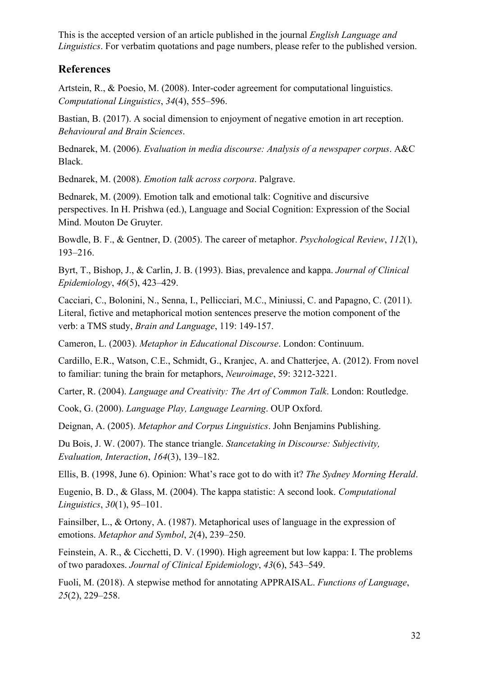## **References**

Artstein, R., & Poesio, M. (2008). Inter-coder agreement for computational linguistics. *Computational Linguistics*, *34*(4), 555–596.

Bastian, B. (2017). A social dimension to enjoyment of negative emotion in art reception. *Behavioural and Brain Sciences*.

Bednarek, M. (2006). *Evaluation in media discourse: Analysis of a newspaper corpus*. A&C Black.

Bednarek, M. (2008). *Emotion talk across corpora*. Palgrave.

perspectives. In H. Prishwa (ed.), Language and Social Cognition: Expression of the Social Mind. Mouton De Gruyter. Bednarek, M. (2009). Emotion talk and emotional talk: Cognitive and discursive

Bowdle, B. F., & Gentner, D. (2005). The career of metaphor. *Psychological Review*, *112*(1), 193–216.

Byrt, T., Bishop, J., & Carlin, J. B. (1993). Bias, prevalence and kappa. *Journal of Clinical Epidemiology*, *46*(5), 423–429.

Cacciari, C., Bolonini, N., Senna, I., Pellicciari, M.C., Miniussi, C. and Papagno, C. (2011). Literal, fictive and metaphorical motion sentences preserve the motion component of the verb: a TMS study, *Brain and Language*, 119: 149-157.

Cameron, L. (2003). *Metaphor in Educational Discourse*. London: Continuum.

Cardillo, E.R., Watson, C.E., Schmidt, G., Kranjec, A. and Chatterjee, A. (2012). From novel to familiar: tuning the brain for metaphors, *Neuroimage*, 59: 3212-3221.

Carter, R. (2004). *Language and Creativity: The Art of Common Talk*. London: Routledge.

Cook, G. (2000). *Language Play, Language Learning*. OUP Oxford.

Deignan, A. (2005). *Metaphor and Corpus Linguistics*. John Benjamins Publishing.

Du Bois, J. W. (2007). The stance triangle. *Stancetaking in Discourse: Subjectivity, Evaluation, Interaction*, *164*(3), 139–182.

Ellis, B. (1998, June 6). Opinion: What's race got to do with it? *The Sydney Morning Herald*.

Eugenio, B. D., & Glass, M. (2004). The kappa statistic: A second look. *Computational Linguistics*, *30*(1), 95–101.

Fainsilber, L., & Ortony, A. (1987). Metaphorical uses of language in the expression of emotions. *Metaphor and Symbol*, *2*(4), 239–250.

Feinstein, A. R., & Cicchetti, D. V. (1990). High agreement but low kappa: I. The problems of two paradoxes. *Journal of Clinical Epidemiology*, *43*(6), 543–549.

Fuoli, M. (2018). A stepwise method for annotating APPRAISAL. *Functions of Language*, *25*(2), 229–258.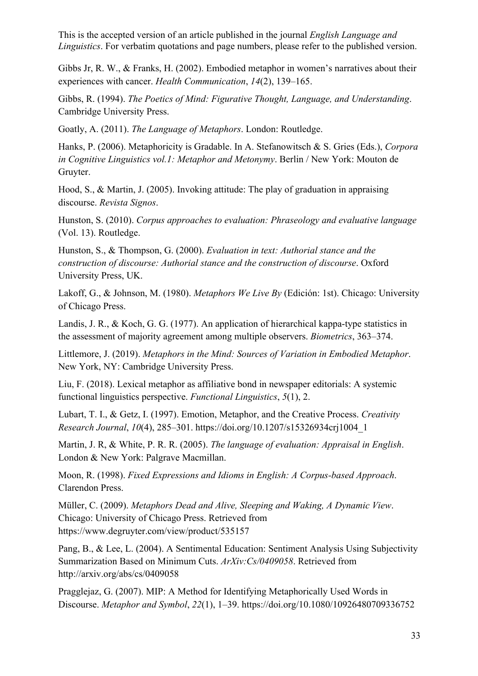Gibbs Jr, R. W., & Franks, H. (2002). Embodied metaphor in women's narratives about their experiences with cancer. *Health Communication*, *14*(2), 139–165.

Gibbs, R. (1994). *The Poetics of Mind: Figurative Thought, Language, and Understanding*. Cambridge University Press.

Goatly, A. (2011). *The Language of Metaphors*. London: Routledge.

Hanks, P. (2006). Metaphoricity is Gradable. In A. Stefanowitsch & S. Gries (Eds.), *Corpora in Cognitive Linguistics vol.1: Metaphor and Metonymy*. Berlin / New York: Mouton de Gruyter.

Hood, S., & Martin, J. (2005). Invoking attitude: The play of graduation in appraising discourse. *Revista Signos*.

Hunston, S. (2010). *Corpus approaches to evaluation: Phraseology and evaluative language*  (Vol. 13). Routledge.

Hunston, S., & Thompson, G. (2000). *Evaluation in text: Authorial stance and the construction of discourse: Authorial stance and the construction of discourse*. Oxford University Press, UK.

Lakoff, G., & Johnson, M. (1980). *Metaphors We Live By* (Edición: 1st). Chicago: University of Chicago Press.

Landis, J. R., & Koch, G. G. (1977). An application of hierarchical kappa-type statistics in the assessment of majority agreement among multiple observers. *Biometrics*, 363–374.

Littlemore, J. (2019). *Metaphors in the Mind: Sources of Variation in Embodied Metaphor*. New York, NY: Cambridge University Press.

Liu, F. (2018). Lexical metaphor as affiliative bond in newspaper editorials: A systemic functional linguistics perspective. *Functional Linguistics*, *5*(1), 2.

Lubart, T. I., & Getz, I. (1997). Emotion, Metaphor, and the Creative Process. *Creativity Research Journal*, *10*(4), 285–301. https://doi.org/10.1207/s15326934crj1004\_1

 London & New York: Palgrave Macmillan. Martin, J. R, & White, P. R. R. (2005). *The language of evaluation: Appraisal in English*.

Moon, R. (1998). *Fixed Expressions and Idioms in English: A Corpus-based Approach*. Clarendon Press.

Müller, C. (2009). *Metaphors Dead and Alive, Sleeping and Waking, A Dynamic View*. Chicago: University of Chicago Press. Retrieved from https://www.degruyter.com/view/product/535157

Pang, B., & Lee, L. (2004). A Sentimental Education: Sentiment Analysis Using Subjectivity Summarization Based on Minimum Cuts. *ArXiv:Cs/0409058*. Retrieved from http://arxiv.org/abs/cs/0409058

Pragglejaz, G. (2007). MIP: A Method for Identifying Metaphorically Used Words in Discourse. *Metaphor and Symbol*, *22*(1), 1–39. https://doi.org/10.1080/10926480709336752